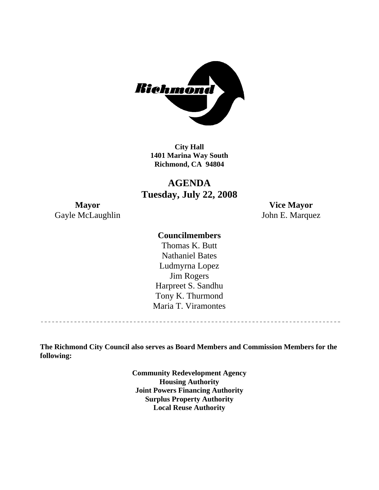

**City Hall 1401 Marina Way South Richmond, CA 94804** 

**AGENDA Tuesday, July 22, 2008** 

Gayle McLaughlin John E. Marquez

**Mayor Vice Mayor** 

### **Councilmembers**

Harpreet S. Sandhu Tony K. Thurmond Maria T. Viramontes Thomas K. Butt Nathaniel Bates Ludmyrna Lopez Jim Rogers

**The Richmond City Council also serves as Board Members and Commission Members for the following:** 

> **Community Redevelopment Agency Housing Authority Joint Powers Financing Authority Surplus Property Authority Local Reuse Authority**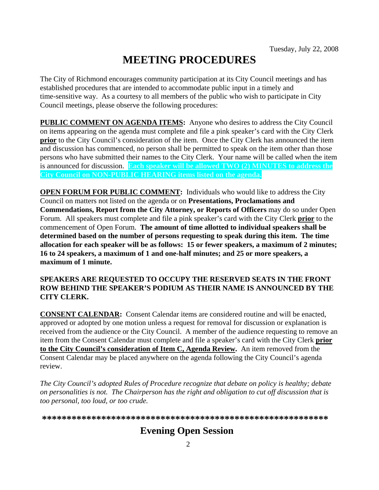# **MEETING PROCEDURES**

The City of Richmond encourages community participation at its City Council meetings and has established procedures that are intended to accommodate public input in a timely and time-sensitive way. As a courtesy to all members of the public who wish to participate in City Council meetings, please observe the following procedures:

**PUBLIC COMMENT ON AGENDA ITEMS:** Anyone who desires to address the City Council on items appearing on the agenda must complete and file a pink speaker's card with the City Clerk **prior** to the City Council's consideration of the item. Once the City Clerk has announced the item and discussion has commenced, no person shall be permitted to speak on the item other than those persons who have submitted their names to the City Clerk. Your name will be called when the item is announced for discussion. **Each speaker will be allowed TWO (2) MINUTES to address the City Council on NON-PUBLIC HEARING items listed on the agenda.** 

**OPEN FORUM FOR PUBLIC COMMENT:** Individuals who would like to address the City Council on matters not listed on the agenda or on **Presentations, Proclamations and Commendations, Report from the City Attorney, or Reports of Officers** may do so under Open Forum. All speakers must complete and file a pink speaker's card with the City Clerk **prior** to the commencement of Open Forum. **The amount of time allotted to individual speakers shall be determined based on the number of persons requesting to speak during this item. The time allocation for each speaker will be as follows: 15 or fewer speakers, a maximum of 2 minutes; 16 to 24 speakers, a maximum of 1 and one-half minutes; and 25 or more speakers, a maximum of 1 minute.** 

#### **SPEAKERS ARE REQUESTED TO OCCUPY THE RESERVED SEATS IN THE FRONT ROW BEHIND THE SPEAKER'S PODIUM AS THEIR NAME IS ANNOUNCED BY THE CITY CLERK.**

**CONSENT CALENDAR:** Consent Calendar items are considered routine and will be enacted, approved or adopted by one motion unless a request for removal for discussion or explanation is received from the audience or the City Council. A member of the audience requesting to remove an item from the Consent Calendar must complete and file a speaker's card with the City Clerk **prior to the City Council's consideration of Item C, Agenda Review.** An item removed from the Consent Calendar may be placed anywhere on the agenda following the City Council's agenda review.

*The City Council's adopted Rules of Procedure recognize that debate on policy is healthy; debate on personalities is not. The Chairperson has the right and obligation to cut off discussion that is too personal, too loud, or too crude.* 

**\*\*\*\*\*\*\*\*\*\*\*\*\*\*\*\*\*\*\*\*\*\*\*\*\*\*\*\*\*\*\*\*\*\*\*\*\*\*\*\*\*\*\*\*\*\*\*\*\*\*\*\*\*\*\*\*\*\***

# **Evening Open Session**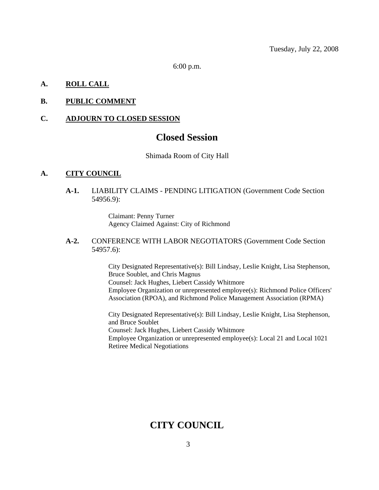6:00 p.m.

#### **A. ROLL CALL**

#### **B. PUBLIC COMMENT**

#### **C. ADJOURN TO CLOSED SESSION**

## **Closed Session**

#### Shimada Room of City Hall

#### **A. CITY COUNCIL**

**A-1.** LIABILITY CLAIMS - PENDING LITIGATION (Government Code Section 54956.9):

> Claimant: Penny Turner Agency Claimed Against: City of Richmond

#### **A-2.** CONFERENCE WITH LABOR NEGOTIATORS (Government Code Section 54957.6):

City Designated Representative(s): Bill Lindsay, Leslie Knight, Lisa Stephenson, Bruce Soublet, and Chris Magnus Counsel: Jack Hughes, Liebert Cassidy Whitmore Employee Organization or unrepresented employee(s): Richmond Police Officers' Association (RPOA), and Richmond Police Management Association (RPMA)

City Designated Representative(s): Bill Lindsay, Leslie Knight, Lisa Stephenson, and Bruce Soublet Counsel: Jack Hughes, Liebert Cassidy Whitmore Employee Organization or unrepresented employee(s): Local 21 and Local 1021 Retiree Medical Negotiations

# **CITY COUNCIL**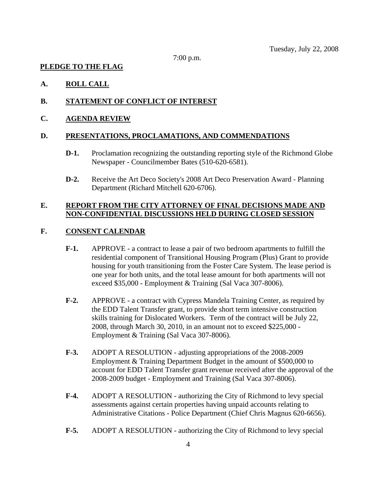7:00 p.m.

#### **PLEDGE TO THE FLAG**

#### **A. ROLL CALL**

#### **B. STATEMENT OF CONFLICT OF INTEREST**

#### **C. AGENDA REVIEW**

#### **D. PRESENTATIONS, PROCLAMATIONS, AND COMMENDATIONS**

- **D-1.** Proclamation recognizing the outstanding reporting style of the Richmond Globe Newspaper - Councilmember Bates (510-620-6581).
- **D-2.** Receive the Art Deco Society's 2008 Art Deco Preservation Award Planning Department (Richard Mitchell 620-6706).

#### **E. REPORT FROM THE CITY ATTORNEY OF FINAL DECISIONS MADE AND NON-CONFIDENTIAL DISCUSSIONS HELD DURING CLOSED SESSION**

#### **F. CONSENT CALENDAR**

- **F-1.** APPROVE a contract to lease a pair of two bedroom apartments to fulfill the residential component of Transitional Housing Program (Plus) Grant to provide housing for youth transitioning from the Foster Care System. The lease period is one year for both units, and the total lease amount for both apartments will not exceed \$35,000 - Employment & Training (Sal Vaca 307-8006).
- **F-2.** APPROVE a contract with Cypress Mandela Training Center, as required by the EDD Talent Transfer grant, to provide short term intensive construction skills training for Dislocated Workers. Term of the contract will be July 22, 2008, through March 30, 2010, in an amount not to exceed \$225,000 - Employment & Training (Sal Vaca 307-8006).
- **F-3.** ADOPT A RESOLUTION adjusting appropriations of the 2008-2009 Employment & Training Department Budget in the amount of \$500,000 to account for EDD Talent Transfer grant revenue received after the approval of the 2008-2009 budget - Employment and Training (Sal Vaca 307-8006).
- **F-4.** ADOPT A RESOLUTION authorizing the City of Richmond to levy special assessments against certain properties having unpaid accounts relating to Administrative Citations - Police Department (Chief Chris Magnus 620-6656).
- **F-5.** ADOPT A RESOLUTION authorizing the City of Richmond to levy special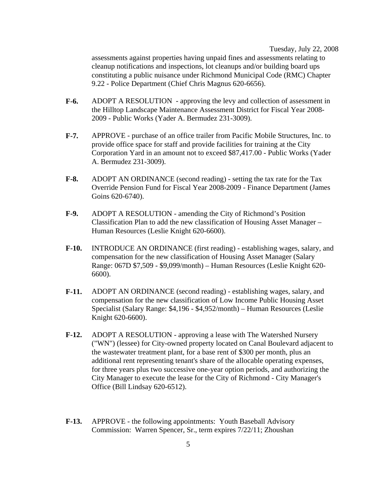Tuesday, July 22, 2008

assessments against properties having unpaid fines and assessments relating to cleanup notifications and inspections, lot cleanups and/or building board ups constituting a public nuisance under Richmond Municipal Code (RMC) Chapter 9.22 - Police Department (Chief Chris Magnus 620-6656).

- **F-6.** ADOPT A RESOLUTION approving the levy and collection of assessment in the Hilltop Landscape Maintenance Assessment District for Fiscal Year 2008- 2009 - Public Works (Yader A. Bermudez 231-3009).
- **F-7.** APPROVE purchase of an office trailer from Pacific Mobile Structures, Inc. to provide office space for staff and provide facilities for training at the City Corporation Yard in an amount not to exceed \$87,417.00 - Public Works (Yader A. Bermudez 231-3009).
- **F-8.** ADOPT AN ORDINANCE (second reading) setting the tax rate for the Tax Override Pension Fund for Fiscal Year 2008-2009 - Finance Department (James Goins 620-6740).
- **F-9.** ADOPT A RESOLUTION amending the City of Richmond's Position Classification Plan to add the new classification of Housing Asset Manager – Human Resources (Leslie Knight 620-6600).
- **F-10.** INTRODUCE AN ORDINANCE (first reading) establishing wages, salary, and compensation for the new classification of Housing Asset Manager (Salary Range: 067D \$7,509 - \$9,099/month) – Human Resources (Leslie Knight 620- 6600).
- **F-11.** ADOPT AN ORDINANCE (second reading) establishing wages, salary, and compensation for the new classification of Low Income Public Housing Asset Specialist (Salary Range: \$4,196 - \$4,952/month) – Human Resources (Leslie Knight 620-6600).
- **F-12.** ADOPT A RESOLUTION approving a lease with The Watershed Nursery ("WN") (lessee) for City-owned property located on Canal Boulevard adjacent to the wastewater treatment plant, for a base rent of \$300 per month, plus an additional rent representing tenant's share of the allocable operating expenses, for three years plus two successive one-year option periods, and authorizing the City Manager to execute the lease for the City of Richmond - City Manager's Office (Bill Lindsay 620-6512).
- **F-13.** APPROVE the following appointments: Youth Baseball Advisory Commission: Warren Spencer, Sr., term expires 7/22/11; Zhoushan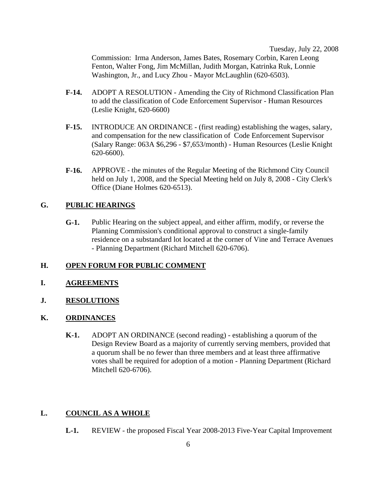Tuesday, July 22, 2008 Commission: Irma Anderson, James Bates, Rosemary Corbin, Karen Leong Fenton, Walter Fong, Jim McMillan, Judith Morgan, Katrinka Ruk, Lonnie Washington, Jr., and Lucy Zhou - Mayor McLaughlin (620-6503).

- **F-14.** ADOPT A RESOLUTION Amending the City of Richmond Classification Plan to add the classification of Code Enforcement Supervisor - Human Resources (Leslie Knight, 620-6600)
- **F-15.** INTRODUCE AN ORDINANCE (first reading) establishing the wages, salary, and compensation for the new classification of Code Enforcement Supervisor (Salary Range: 063A \$6,296 - \$7,653/month) - Human Resources (Leslie Knight 620-6600).
- **F-16.** APPROVE the minutes of the Regular Meeting of the Richmond City Council held on July 1, 2008, and the Special Meeting held on July 8, 2008 - City Clerk's Office (Diane Holmes 620-6513).

#### **G. PUBLIC HEARINGS**

**G-1.** Public Hearing on the subject appeal, and either affirm, modify, or reverse the Planning Commission's conditional approval to construct a single-family residence on a substandard lot located at the corner of Vine and Terrace Avenues - Planning Department (Richard Mitchell 620-6706).

#### **H. OPEN FORUM FOR PUBLIC COMMENT**

- **I. AGREEMENTS**
- **J. RESOLUTIONS**

#### **K. ORDINANCES**

**K-1.** ADOPT AN ORDINANCE (second reading) - establishing a quorum of the Design Review Board as a majority of currently serving members, provided that a quorum shall be no fewer than three members and at least three affirmative votes shall be required for adoption of a motion - Planning Department (Richard Mitchell 620-6706).

#### **L. COUNCIL AS A WHOLE**

**L-1.** REVIEW - the proposed Fiscal Year 2008-2013 Five-Year Capital Improvement